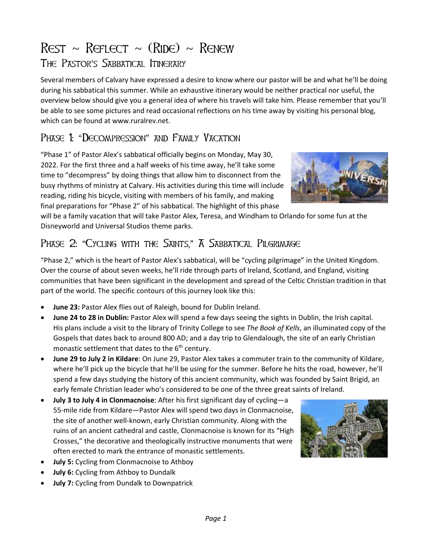## $Rest \sim RerLECT \sim (RIDE) \sim ReneW$ The Pastor's Sabbatical Itinerary

Several members of Calvary have expressed a desire to know where our pastor will be and what he'll be doing during his sabbatical this summer. While an exhaustive itinerary would be neither practical nor useful, the overview below should give you a general idea of where his travels will take him. Please remember that you'll be able to see some pictures and read occasional reflections on his time away by visiting his personal blog, which can be found at www.ruralrev.net.

## PHASE 1: "DECOMPRESSION" AND FAMILY VACATION

"Phase 1" of Pastor Alex's sabbatical officially begins on Monday, May 30, 2022. For the first three and a half weeks of his time away, he'll take some time to "decompress" by doing things that allow him to disconnect from the busy rhythms of ministry at Calvary. His activities during this time will include reading, riding his bicycle, visiting with members of his family, and making final preparations for "Phase 2" of his sabbatical. The highlight of this phase



will be a family vacation that will take Pastor Alex, Teresa, and Windham to Orlando for some fun at the Disneyworld and Universal Studios theme parks.

## PHASE 2: "CYCLING WITH THE SAINTS," A SABBATICAL PILGRIMAGE

"Phase 2," which is the heart of Pastor Alex's sabbatical, will be "cycling pilgrimage" in the United Kingdom. Over the course of about seven weeks, he'll ride through parts of Ireland, Scotland, and England, visiting communities that have been significant in the development and spread of the Celtic Christian tradition in that part of the world. The specific contours of this journey look like this:

- **June 23: Pastor Alex flies out of Raleigh, bound for Dublin Ireland.**
- **June 24 to 28 in Dublin:** Pastor Alex will spend a few days seeing the sights in Dublin, the Irish capital. His plans include a visit to the library of Trinity College to see *The Book of Kells*, an illuminated copy of the Gospels that dates back to around 800 AD; and a day trip to Glendalough, the site of an early Christian monastic settlement that dates to the  $6<sup>th</sup>$  century.
- **June 29 to July 2 in Kildare**: On June 29, Pastor Alex takes a commuter train to the community of Kildare, where he'll pick up the bicycle that he'll be using for the summer. Before he hits the road, however, he'll spend a few days studying the history of this ancient community, which was founded by Saint Brigid, an early female Christian leader who's considered to be one of the three great saints of Ireland.
- **July 3 to July 4 in Clonmacnoise**: After his first significant day of cycling—a 55-mile ride from Kildare—Pastor Alex will spend two days in Clonmacnoise, the site of another well-known, early Christian community. Along with the ruins of an ancient cathedral and castle, Clonmacnoise is known for its "High Crosses," the decorative and theologically instructive monuments that were often erected to mark the entrance of monastic settlements.
- **July 5:** Cycling from Clonmacnoise to Athboy
- **July 6:** Cycling from Athboy to Dundalk
- **July 7:** Cycling from Dundalk to Downpatrick

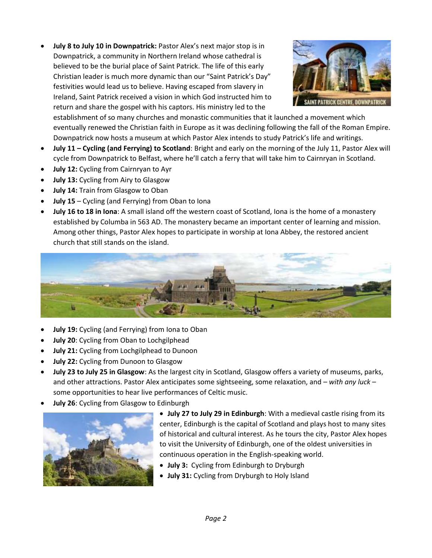• **July 8 to July 10 in Downpatrick:** Pastor Alex's next major stop is in Downpatrick, a community in Northern Ireland whose cathedral is believed to be the burial place of Saint Patrick. The life of this early Christian leader is much more dynamic than our "Saint Patrick's Day" festivities would lead us to believe. Having escaped from slavery in Ireland, Saint Patrick received a vision in which God instructed him to return and share the gospel with his captors. His ministry led to the



establishment of so many churches and monastic communities that it launched a movement which eventually renewed the Christian faith in Europe as it was declining following the fall of the Roman Empire. Downpatrick now hosts a museum at which Pastor Alex intends to study Patrick's life and writings.

- **July 11 – Cycling (and Ferrying) to Scotland**: Bright and early on the morning of the July 11, Pastor Alex will cycle from Downpatrick to Belfast, where he'll catch a ferry that will take him to Cairnryan in Scotland.
- **July 12:** Cycling from Cairnryan to Ayr
- **July 13:** Cycling from Airy to Glasgow
- **July 14:** Train from Glasgow to Oban
- **July 15**  Cycling (and Ferrying) from Oban to Iona
- **July 16 to 18 in Iona**: A small island off the western coast of Scotland, Iona is the home of a monastery established by Columba in 563 AD. The monastery became an important center of learning and mission. Among other things, Pastor Alex hopes to participate in worship at Iona Abbey, the restored ancient church that still stands on the island.



- **July 19:** Cycling (and Ferrying) from Iona to Oban
- **July 20**: Cycling from Oban to Lochgilphead
- **July 21:** Cycling from Lochgilphead to Dunoon
- **July 22:** Cycling from Dunoon to Glasgow
- **July 23 to July 25 in Glasgow**: As the largest city in Scotland, Glasgow offers a variety of museums, parks, and other attractions. Pastor Alex anticipates some sightseeing, some relaxation, and – *with any luck* – some opportunities to hear live performances of Celtic music.
- **July 26**: Cycling from Glasgow to Edinburgh



• **July 27 to July 29 in Edinburgh**: With a medieval castle rising from its center, Edinburgh is the capital of Scotland and plays host to many sites of historical and cultural interest. As he tours the city, Pastor Alex hopes to visit the University of Edinburgh, one of the oldest universities in continuous operation in the English-speaking world.

- **July 3:** Cycling from Edinburgh to Dryburgh
- **July 31:** Cycling from Dryburgh to Holy Island